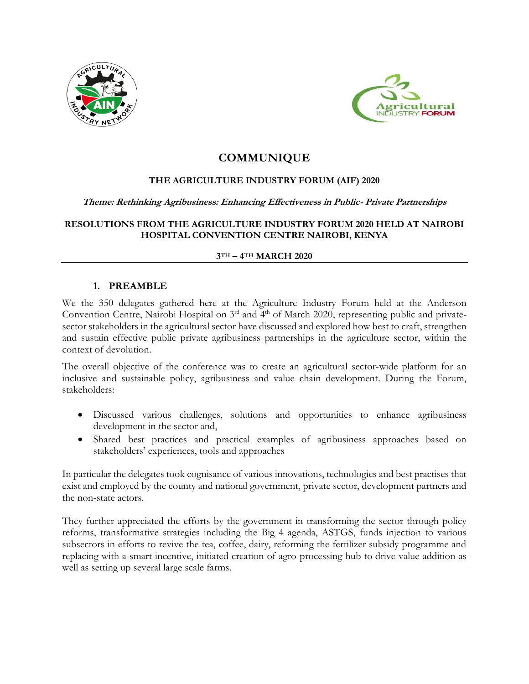



# **COMMUNIQUE**

# **THE AGRICULTURE INDUSTRY FORUM (AIF) 2020**

#### **Theme: Rethinking Agribusiness: Enhancing Effectiveness in Public- Private Partnerships**

**RESOLUTIONS FROM THE AGRICULTURE INDUSTRY FORUM 2020 HELD AT NAIROBI HOSPITAL CONVENTION CENTRE NAIROBI, KENYA**

#### **3TH – 4TH MARCH 2020**

#### **1. PREAMBLE**

We the 350 delegates gathered here at the Agriculture Industry Forum held at the Anderson Convention Centre, Nairobi Hospital on  $3<sup>rd</sup>$  and  $4<sup>th</sup>$  of March 2020, representing public and privatesector stakeholders in the agricultural sector have discussed and explored how best to craft, strengthen and sustain effective public private agribusiness partnerships in the agriculture sector, within the context of devolution.

The overall objective of the conference was to create an agricultural sector-wide platform for an inclusive and sustainable policy, agribusiness and value chain development. During the Forum, stakeholders:

- Discussed various challenges, solutions and opportunities to enhance agribusiness development in the sector and,
- Shared best practices and practical examples of agribusiness approaches based on stakeholders' experiences, tools and approaches

In particular the delegates took cognisance of various innovations, technologies and best practises that exist and employed by the county and national government, private sector, development partners and the non-state actors.

They further appreciated the efforts by the government in transforming the sector through policy reforms, transformative strategies including the Big 4 agenda, ASTGS, funds injection to various subsectors in efforts to revive the tea, coffee, dairy, reforming the fertilizer subsidy programme and replacing with a smart incentive, initiated creation of agro-processing hub to drive value addition as well as setting up several large scale farms.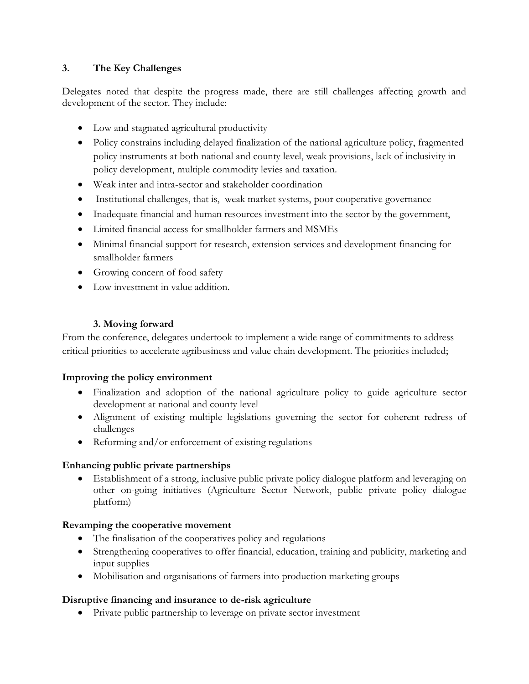# **3. The Key Challenges**

Delegates noted that despite the progress made, there are still challenges affecting growth and development of the sector. They include:

- Low and stagnated agricultural productivity
- Policy constrains including delayed finalization of the national agriculture policy, fragmented policy instruments at both national and county level, weak provisions, lack of inclusivity in policy development, multiple commodity levies and taxation.
- Weak inter and intra-sector and stakeholder coordination
- Institutional challenges, that is, weak market systems, poor cooperative governance
- Inadequate financial and human resources investment into the sector by the government,
- Limited financial access for smallholder farmers and MSMEs
- Minimal financial support for research, extension services and development financing for smallholder farmers
- Growing concern of food safety
- Low investment in value addition.

# **3. Moving forward**

From the conference, delegates undertook to implement a wide range of commitments to address critical priorities to accelerate agribusiness and value chain development. The priorities included;

# **Improving the policy environment**

- Finalization and adoption of the national agriculture policy to guide agriculture sector development at national and county level
- Alignment of existing multiple legislations governing the sector for coherent redress of challenges
- Reforming and/or enforcement of existing regulations

# **Enhancing public private partnerships**

• Establishment of a strong, inclusive public private policy dialogue platform and leveraging on other on-going initiatives (Agriculture Sector Network, public private policy dialogue platform)

# **Revamping the cooperative movement**

- The finalisation of the cooperatives policy and regulations
- Strengthening cooperatives to offer financial, education, training and publicity, marketing and input supplies
- Mobilisation and organisations of farmers into production marketing groups

# **Disruptive financing and insurance to de-risk agriculture**

• Private public partnership to leverage on private sector investment